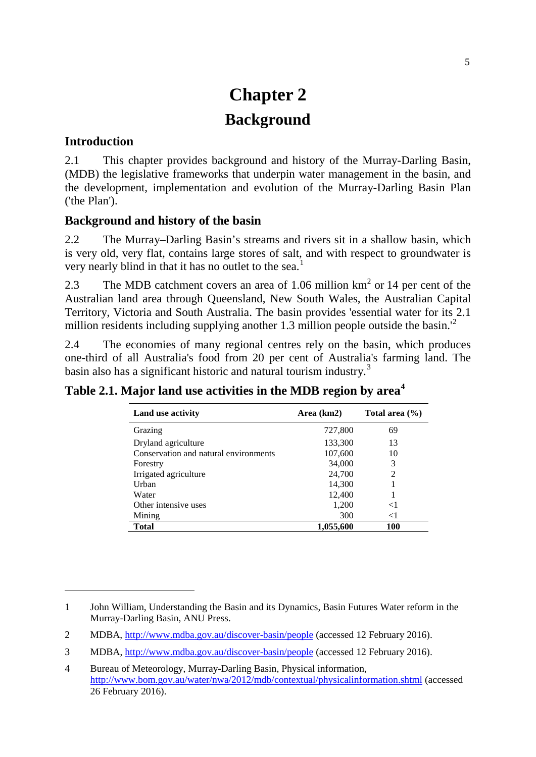# **Chapter 2 Background**

#### **Introduction**

-

2.1 This chapter provides background and history of the Murray-Darling Basin, (MDB) the legislative frameworks that underpin water management in the basin, and the development, implementation and evolution of the Murray-Darling Basin Plan ('the Plan').

## **Background and history of the basin**

2.2 The Murray–Darling Basin's streams and rivers sit in a shallow basin, which is very old, very flat, contains large stores of salt, and with respect to groundwater is very nearly blind in that it has no outlet to the sea.<sup>[1](#page-0-0)</sup>

2.3 The MDB catchment covers an area of 1.06 million  $km<sup>2</sup>$  or 14 per cent of the Australian land area through Queensland, New South Wales, the Australian Capital Territory, Victoria and South Australia. The basin provides 'essential water for its 2.1 million residents including supplying another 1.3 million people outside the basin.<sup>1[2](#page-0-1)</sup>

2.4 The economies of many regional centres rely on the basin, which produces one-third of all Australia's food from 20 per cent of Australia's farming land. The basin also has a significant historic and natural tourism industry.<sup>[3](#page-0-2)</sup>

| Land use activity                     | Area (km2) | Total area $(\% )$ |
|---------------------------------------|------------|--------------------|
| Grazing                               | 727,800    | 69                 |
| Dryland agriculture                   | 133,300    | 13                 |
| Conservation and natural environments | 107,600    | 10                 |
| Forestry                              | 34,000     | 3                  |
| Irrigated agriculture                 | 24,700     | 2                  |
| Urban                                 | 14,300     |                    |
| Water                                 | 12,400     |                    |
| Other intensive uses                  | 1,200      | $\leq$ 1           |
| Mining                                | 300        | $\leq$ 1           |
| Total                                 | 1,055,600  | 100                |

<span id="page-0-0"></span><sup>1</sup> John William, Understanding the Basin and its Dynamics, Basin Futures Water reform in the Murray-Darling Basin, ANU Press.

<span id="page-0-1"></span><sup>2</sup> MDBA,<http://www.mdba.gov.au/discover-basin/people> (accessed 12 February 2016).

<span id="page-0-2"></span><sup>3</sup> MDBA,<http://www.mdba.gov.au/discover-basin/people> (accessed 12 February 2016).

<span id="page-0-3"></span><sup>4</sup> Bureau of Meteorology, Murray-Darling Basin, Physical information, <http://www.bom.gov.au/water/nwa/2012/mdb/contextual/physicalinformation.shtml> (accessed 26 February 2016).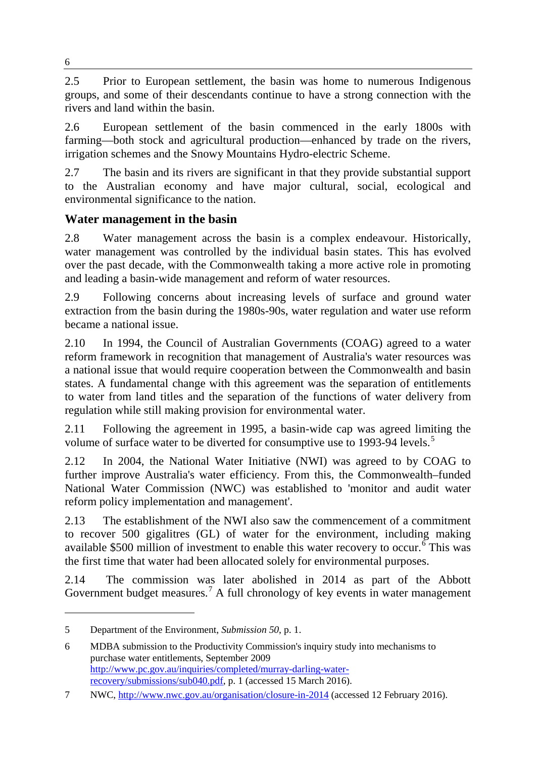2.5 Prior to European settlement, the basin was home to numerous Indigenous groups, and some of their descendants continue to have a strong connection with the rivers and land within the basin.

2.6 European settlement of the basin commenced in the early 1800s with farming—both stock and agricultural production—enhanced by trade on the rivers, irrigation schemes and the Snowy Mountains Hydro-electric Scheme.

2.7 The basin and its rivers are significant in that they provide substantial support to the Australian economy and have major cultural, social, ecological and environmental significance to the nation.

# **Water management in the basin**

2.8 Water management across the basin is a complex endeavour. Historically, water management was controlled by the individual basin states. This has evolved over the past decade, with the Commonwealth taking a more active role in promoting and leading a basin-wide management and reform of water resources.

2.9 Following concerns about increasing levels of surface and ground water extraction from the basin during the 1980s-90s, water regulation and water use reform became a national issue.

2.10 In 1994, the Council of Australian Governments (COAG) agreed to a water reform framework in recognition that management of Australia's water resources was a national issue that would require cooperation between the Commonwealth and basin states. A fundamental change with this agreement was the separation of entitlements to water from land titles and the separation of the functions of water delivery from regulation while still making provision for environmental water.

2.11 Following the agreement in 1995, a basin-wide cap was agreed limiting the volume of surface water to be diverted for consumptive use to 1993-94 levels.<sup>[5](#page-1-0)</sup>

2.12 In 2004, the National Water Initiative (NWI) was agreed to by COAG to further improve Australia's water efficiency. From this, the Commonwealth–funded National Water Commission (NWC) was established to 'monitor and audit water reform policy implementation and management'.

2.13 The establishment of the NWI also saw the commencement of a commitment to recover 500 gigalitres (GL) of water for the environment, including making available  $$500$  million of investment to enable this water recovery to occur.<sup>[6](#page-1-1)</sup> This was the first time that water had been allocated solely for environmental purposes.

2.14 The commission was later abolished in 2014 as part of the Abbott Government budget measures.<sup>[7](#page-1-2)</sup> A full chronology of key events in water management

<span id="page-1-0"></span><sup>5</sup> Department of the Environment, *Submission 50*, p. 1.

<span id="page-1-1"></span><sup>6</sup> MDBA submission to the Productivity Commission's inquiry study into mechanisms to purchase water entitlements, September 2009 [http://www.pc.gov.au/inquiries/completed/murray-darling-water](http://www.pc.gov.au/inquiries/completed/murray-darling-water-recovery/submissions/sub040.pdf)[recovery/submissions/sub040.pdf,](http://www.pc.gov.au/inquiries/completed/murray-darling-water-recovery/submissions/sub040.pdf) p. 1 (accessed 15 March 2016).

<span id="page-1-2"></span><sup>7</sup> NWC,<http://www.nwc.gov.au/organisation/closure-in-2014> (accessed 12 February 2016).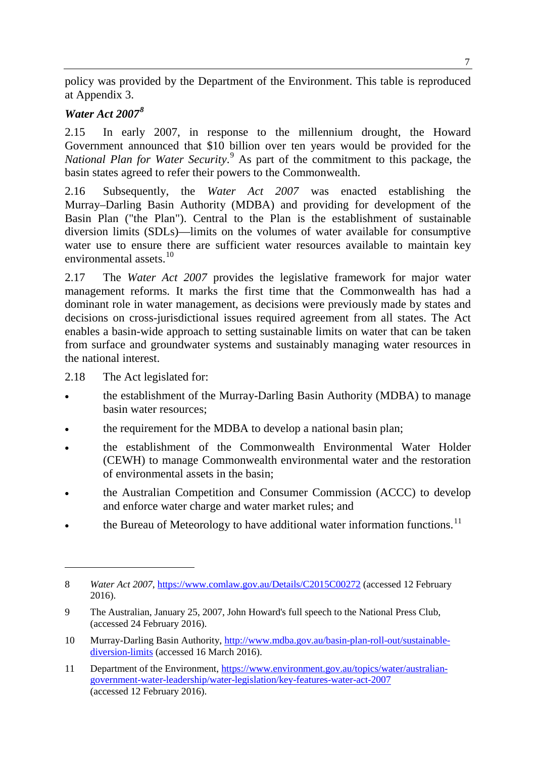policy was provided by the Department of the Environment. This table is reproduced at Appendix 3.

#### *Water Act 2007[8](#page-2-0)*

2.15 In early 2007, in response to the millennium drought, the Howard Government announced that \$10 billion over ten years would be provided for the *National Plan for Water Security*. [9](#page-2-1) As part of the commitment to this package, the basin states agreed to refer their powers to the Commonwealth.

2.16 Subsequently, the *Water Act 2007* was enacted establishing the Murray–Darling Basin Authority (MDBA) and providing for development of the Basin Plan ("the Plan"). Central to the Plan is the establishment of sustainable diversion limits (SDLs)—limits on the volumes of water available for consumptive water use to ensure there are sufficient water resources available to maintain key environmental assets<sup>[10](#page-2-2)</sup>

2.17 The *Water Act 2007* provides the legislative framework for major water management reforms. It marks the first time that the Commonwealth has had a dominant role in water management, as decisions were previously made by states and decisions on cross-jurisdictional issues required agreement from all states. The Act enables a basin-wide approach to setting sustainable limits on water that can be taken from surface and groundwater systems and sustainably managing water resources in the national interest.

2.18 The Act legislated for:

- the establishment of the Murray-Darling Basin Authority (MDBA) to manage basin water resources;
- the requirement for the MDBA to develop a national basin plan;
- the establishment of the Commonwealth Environmental Water Holder (CEWH) to manage Commonwealth environmental water and the restoration of environmental assets in the basin;
- the Australian Competition and Consumer Commission (ACCC) to develop and enforce water charge and water market rules; and
- the Bureau of Meteorology to have additional water information functions.<sup>[11](#page-2-3)</sup>

<span id="page-2-0"></span><sup>8</sup> *Water Act 2007*,<https://www.comlaw.gov.au/Details/C2015C00272> (accessed 12 February 2016).

<span id="page-2-1"></span><sup>9</sup> The Australian, January 25, 2007, John Howard's full speech to the National Press Club, (accessed 24 February 2016).

<span id="page-2-2"></span><sup>10</sup> Murray-Darling Basin Authority, [http://www.mdba.gov.au/basin-plan-roll-out/sustainable](http://www.mdba.gov.au/basin-plan-roll-out/sustainable-diversion-limits)[diversion-limits](http://www.mdba.gov.au/basin-plan-roll-out/sustainable-diversion-limits) (accessed 16 March 2016).

<span id="page-2-3"></span><sup>11</sup> Department of the Environment, [https://www.environment.gov.au/topics/water/australian](https://www.environment.gov.au/topics/water/australian-government-water-leadership/water-legislation/key-features-water-act-2007)[government-water-leadership/water-legislation/key-features-water-act-2007](https://www.environment.gov.au/topics/water/australian-government-water-leadership/water-legislation/key-features-water-act-2007) (accessed 12 February 2016).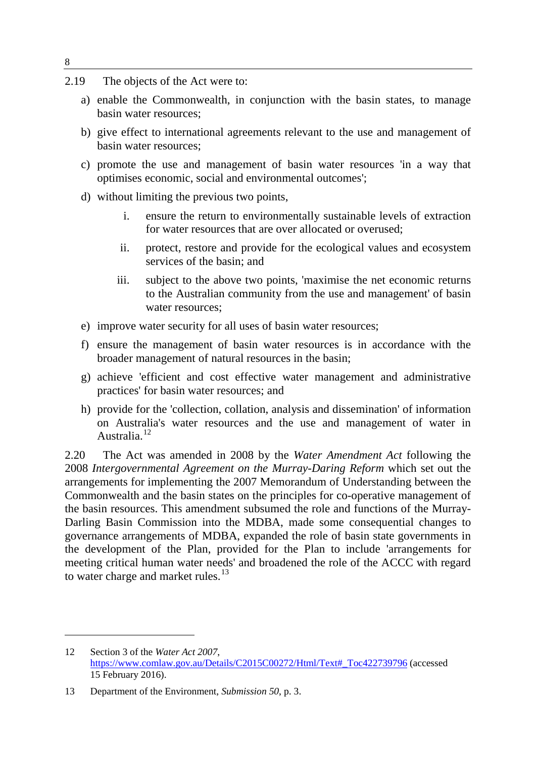- 2.19 The objects of the Act were to:
	- a) enable the Commonwealth, in conjunction with the basin states, to manage basin water resources;
	- b) give effect to international agreements relevant to the use and management of basin water resources;
	- c) promote the use and management of basin water resources 'in a way that optimises economic, social and environmental outcomes';
	- d) without limiting the previous two points,
		- i. ensure the return to environmentally sustainable levels of extraction for water resources that are over allocated or overused;
		- ii. protect, restore and provide for the ecological values and ecosystem services of the basin; and
		- iii. subject to the above two points, 'maximise the net economic returns to the Australian community from the use and management' of basin water resources;
	- e) improve water security for all uses of basin water resources;
	- f) ensure the management of basin water resources is in accordance with the broader management of natural resources in the basin;
	- g) achieve 'efficient and cost effective water management and administrative practices' for basin water resources; and
	- h) provide for the 'collection, collation, analysis and dissemination' of information on Australia's water resources and the use and management of water in Australia.[12](#page-3-0)

2.20 The Act was amended in 2008 by the *Water Amendment Act* following the 2008 *Intergovernmental Agreement on the Murray-Daring Reform* which set out the arrangements for implementing the 2007 Memorandum of Understanding between the Commonwealth and the basin states on the principles for co-operative management of the basin resources. This amendment subsumed the role and functions of the Murray-Darling Basin Commission into the MDBA, made some consequential changes to governance arrangements of MDBA, expanded the role of basin state governments in the development of the Plan, provided for the Plan to include 'arrangements for meeting critical human water needs' and broadened the role of the ACCC with regard to water charge and market rules.<sup>[13](#page-3-1)</sup>

<span id="page-3-0"></span><sup>12</sup> Section 3 of the *Water Act 2007*, [https://www.comlaw.gov.au/Details/C2015C00272/Html/Text#\\_Toc422739796](https://www.comlaw.gov.au/Details/C2015C00272/Html/Text#_Toc422739796) (accessed 15 February 2016).

<span id="page-3-1"></span><sup>13</sup> Department of the Environment, *Submission 50*, p. 3.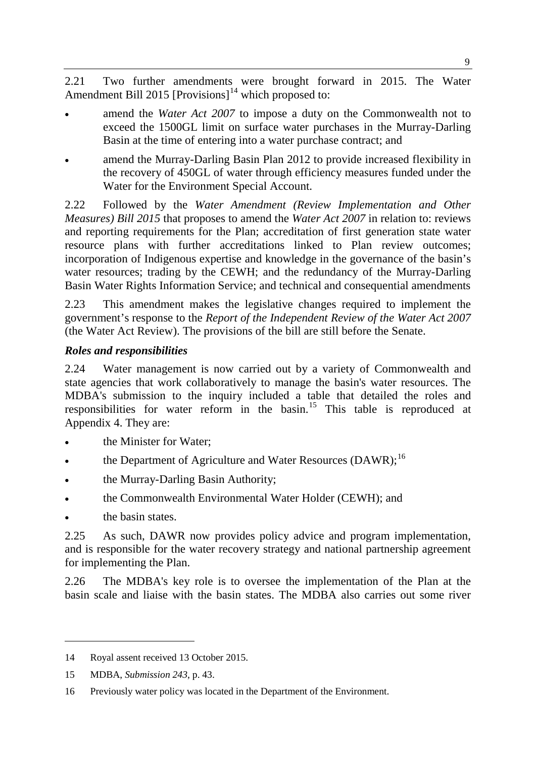2.21 Two further amendments were brought forward in 2015. The Water Amendment Bill 2015 [Provisions]<sup>[14](#page-4-0)</sup> which proposed to:

- amend the *Water Act 2007* to impose a duty on the Commonwealth not to exceed the 1500GL limit on surface water purchases in the Murray-Darling Basin at the time of entering into a water purchase contract; and
- amend the Murray-Darling Basin Plan 2012 to provide increased flexibility in the recovery of 450GL of water through efficiency measures funded under the Water for the Environment Special Account.

2.22 Followed by the *Water Amendment (Review Implementation and Other Measures) Bill 2015* that proposes to amend the *Water Act 2007* in relation to: reviews and reporting requirements for the Plan; accreditation of first generation state water resource plans with further accreditations linked to Plan review outcomes; incorporation of Indigenous expertise and knowledge in the governance of the basin's water resources; trading by the CEWH; and the redundancy of the Murray-Darling Basin Water Rights Information Service; and technical and consequential amendments

2.23 This amendment makes the legislative changes required to implement the government's response to the *Report of the Independent Review of the Water Act 2007*  (the Water Act Review). The provisions of the bill are still before the Senate.

## *Roles and responsibilities*

2.24 Water management is now carried out by a variety of Commonwealth and state agencies that work collaboratively to manage the basin's water resources. The MDBA's submission to the inquiry included a table that detailed the roles and responsibilities for water reform in the basin.[15](#page-4-1) This table is reproduced at Appendix 4. They are:

- the Minister for Water:
- the Department of Agriculture and Water Resources (DAWR); $^{16}$  $^{16}$  $^{16}$
- the Murray-Darling Basin Authority;
- the Commonwealth Environmental Water Holder (CEWH); and
- the basin states.

-

2.25 As such, DAWR now provides policy advice and program implementation, and is responsible for the water recovery strategy and national partnership agreement for implementing the Plan.

2.26 The MDBA's key role is to oversee the implementation of the Plan at the basin scale and liaise with the basin states. The MDBA also carries out some river

<span id="page-4-0"></span><sup>14</sup> Royal assent received 13 October 2015.

<span id="page-4-1"></span><sup>15</sup> MDBA, *Submission 243*, p. 43.

<span id="page-4-2"></span><sup>16</sup> Previously water policy was located in the Department of the Environment.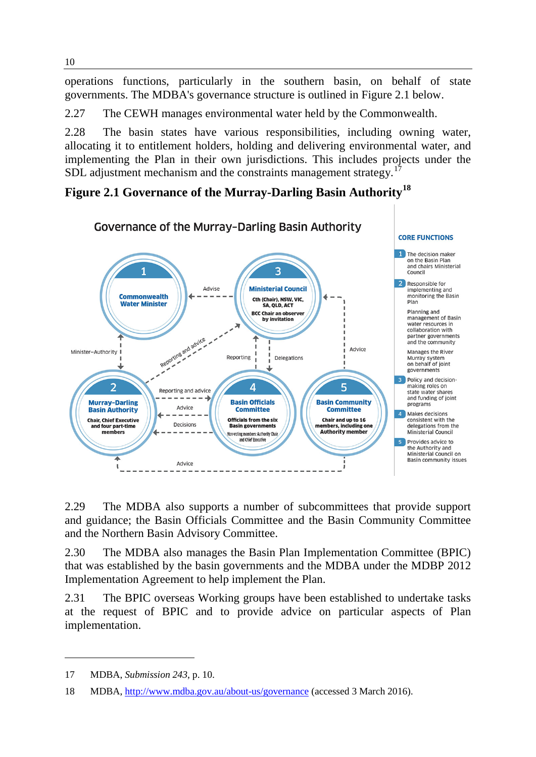operations functions, particularly in the southern basin, on behalf of state governments. The MDBA's governance structure is outlined in Figure 2.1 below.

2.27 The CEWH manages environmental water held by the Commonwealth.

2.28 The basin states have various responsibilities, including owning water, allocating it to entitlement holders, holding and delivering environmental water, and implementing the Plan in their own jurisdictions. This includes projects under the SDL adjustment mechanism and the constraints management strategy.<sup>[17](#page-5-0)</sup>

## **Figure 2.1 Governance of the Murray-Darling Basin Authority[18](#page-5-1)**



2.29 The MDBA also supports a number of subcommittees that provide support and guidance; the Basin Officials Committee and the Basin Community Committee and the Northern Basin Advisory Committee.

2.30 The MDBA also manages the Basin Plan Implementation Committee (BPIC) that was established by the basin governments and the MDBA under the MDBP 2012 Implementation Agreement to help implement the Plan.

2.31 The BPIC overseas Working groups have been established to undertake tasks at the request of BPIC and to provide advice on particular aspects of Plan implementation.

<span id="page-5-0"></span><sup>17</sup> MDBA, *Submission 243*, p. 10.

<span id="page-5-1"></span><sup>18</sup> MDBA,<http://www.mdba.gov.au/about-us/governance> (accessed 3 March 2016).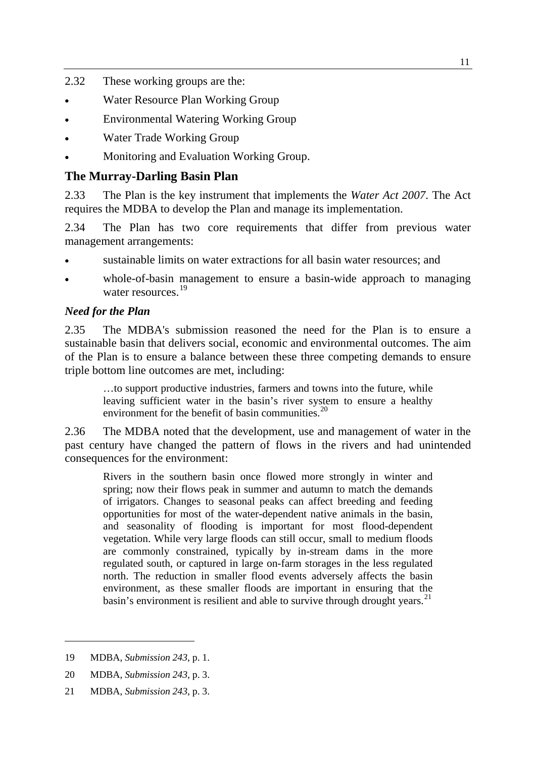- 2.32 These working groups are the:
- Water Resource Plan Working Group
- Environmental Watering Working Group
- Water Trade Working Group
- Monitoring and Evaluation Working Group.

## **The Murray-Darling Basin Plan**

2.33 The Plan is the key instrument that implements the *Water Act 2007*. The Act requires the MDBA to develop the Plan and manage its implementation.

2.34 The Plan has two core requirements that differ from previous water management arrangements:

- sustainable limits on water extractions for all basin water resources; and
- whole-of-basin management to ensure a basin-wide approach to managing water resources.<sup>[19](#page-6-0)</sup>

## *Need for the Plan*

2.35 The MDBA's submission reasoned the need for the Plan is to ensure a sustainable basin that delivers social, economic and environmental outcomes. The aim of the Plan is to ensure a balance between these three competing demands to ensure triple bottom line outcomes are met, including:

…to support productive industries, farmers and towns into the future, while leaving sufficient water in the basin's river system to ensure a healthy environment for the benefit of basin communities. $20$ 

2.36 The MDBA noted that the development, use and management of water in the past century have changed the pattern of flows in the rivers and had unintended consequences for the environment:

Rivers in the southern basin once flowed more strongly in winter and spring; now their flows peak in summer and autumn to match the demands of irrigators. Changes to seasonal peaks can affect breeding and feeding opportunities for most of the water-dependent native animals in the basin, and seasonality of flooding is important for most flood-dependent vegetation. While very large floods can still occur, small to medium floods are commonly constrained, typically by in-stream dams in the more regulated south, or captured in large on-farm storages in the less regulated north. The reduction in smaller flood events adversely affects the basin environment, as these smaller floods are important in ensuring that the basin's environment is resilient and able to survive through drought years.<sup>[21](#page-6-2)</sup>

-

<span id="page-6-2"></span>21 MDBA, *Submission 243*, p. 3.

<span id="page-6-0"></span><sup>19</sup> MDBA, *Submission 243*, p. 1.

<span id="page-6-1"></span><sup>20</sup> MDBA, *Submission 243*, p. 3.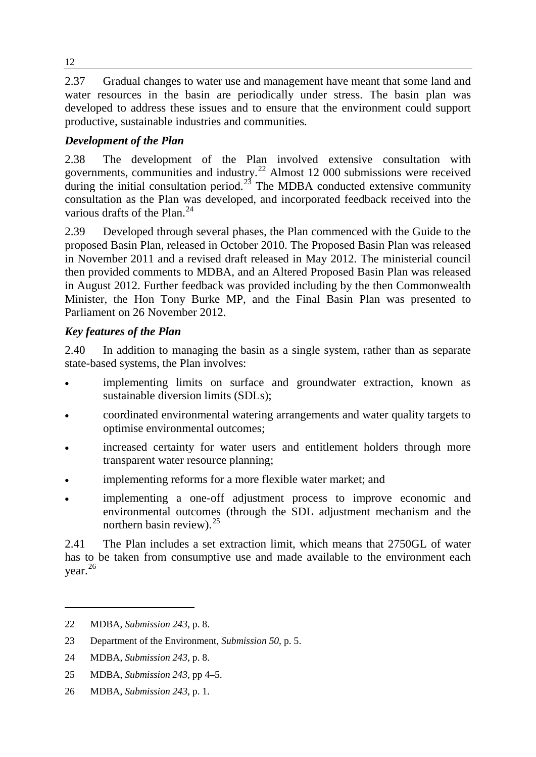2.37 Gradual changes to water use and management have meant that some land and water resources in the basin are periodically under stress. The basin plan was developed to address these issues and to ensure that the environment could support productive, sustainable industries and communities.

# *Development of the Plan*

2.38 The development of the Plan involved extensive consultation with governments, communities and industry.<sup>[22](#page-7-0)</sup> Almost 12 000 submissions were received during the initial consultation period.<sup>[23](#page-7-1)</sup> The MDBA conducted extensive community consultation as the Plan was developed, and incorporated feedback received into the various drafts of the Plan.<sup>[24](#page-7-2)</sup>

2.39 Developed through several phases, the Plan commenced with the Guide to the proposed Basin Plan, released in October 2010. The Proposed Basin Plan was released in November 2011 and a revised draft released in May 2012. The ministerial council then provided comments to MDBA, and an Altered Proposed Basin Plan was released in August 2012. Further feedback was provided including by the then Commonwealth Minister, the Hon Tony Burke MP, and the Final Basin Plan was presented to Parliament on 26 November 2012.

## *Key features of the Plan*

2.40 In addition to managing the basin as a single system, rather than as separate state-based systems, the Plan involves:

- implementing limits on surface and groundwater extraction, known as sustainable diversion limits (SDLs);
- coordinated environmental watering arrangements and water quality targets to optimise environmental outcomes;
- increased certainty for water users and entitlement holders through more transparent water resource planning;
- implementing reforms for a more flexible water market; and
- implementing a one-off adjustment process to improve economic and environmental outcomes (through the SDL adjustment mechanism and the northern basin review).  $25$

2.41 The Plan includes a set extraction limit, which means that 2750GL of water has to be taken from consumptive use and made available to the environment each year.[26](#page-7-4)

-

<span id="page-7-4"></span>26 MDBA, *Submission 243*, p. 1.

12

<span id="page-7-0"></span><sup>22</sup> MDBA, *Submission 243*, p. 8.

<span id="page-7-1"></span><sup>23</sup> Department of the Environment, *Submission 50*, p. 5.

<span id="page-7-2"></span><sup>24</sup> MDBA, *Submission 243*, p. 8.

<span id="page-7-3"></span><sup>25</sup> MDBA, *Submission 243*, pp 4–5.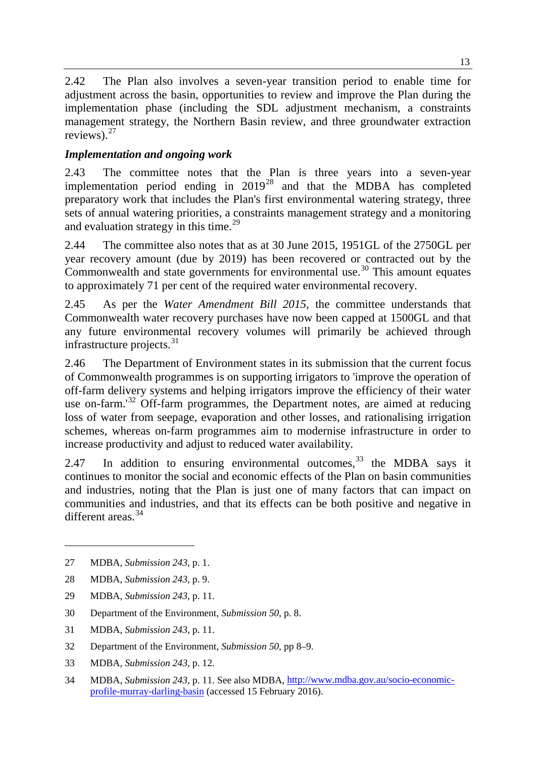2.42 The Plan also involves a seven-year transition period to enable time for adjustment across the basin, opportunities to review and improve the Plan during the implementation phase (including the SDL adjustment mechanism, a constraints management strategy, the Northern Basin review, and three groundwater extraction reviews).<sup>[27](#page-8-0)</sup>

# *Implementation and ongoing work*

2.43 The committee notes that the Plan is three years into a seven-year implementation period ending in 2019<sup>[28](#page-8-1)</sup> and that the MDBA has completed preparatory work that includes the Plan's first environmental watering strategy, three sets of annual watering priorities, a constraints management strategy and a monitoring and evaluation strategy in this time.<sup>[29](#page-8-2)</sup>

2.44 The committee also notes that as at 30 June 2015, 1951GL of the 2750GL per year recovery amount (due by 2019) has been recovered or contracted out by the Commonwealth and state governments for environmental use.<sup>[30](#page-8-3)</sup> This amount equates to approximately 71 per cent of the required water environmental recovery.

2.45 As per the *Water Amendment Bill 2015*, the committee understands that Commonwealth water recovery purchases have now been capped at 1500GL and that any future environmental recovery volumes will primarily be achieved through infrastructure projects. $31$ 

2.46 The Department of Environment states in its submission that the current focus of Commonwealth programmes is on supporting irrigators to 'improve the operation of off-farm delivery systems and helping irrigators improve the efficiency of their water use on-farm.<sup>[32](#page-8-5)</sup> Off-farm programmes, the Department notes, are aimed at reducing loss of water from seepage, evaporation and other losses, and rationalising irrigation schemes, whereas on-farm programmes aim to modernise infrastructure in order to increase productivity and adjust to reduced water availability.

2.47 In addition to ensuring environmental outcomes,  $33$  the MDBA says it continues to monitor the social and economic effects of the Plan on basin communities and industries, noting that the Plan is just one of many factors that can impact on communities and industries, and that its effects can be both positive and negative in different areas <sup>[34](#page-8-7)</sup>

- <span id="page-8-2"></span>29 MDBA, *Submission 243*, p. 11.
- <span id="page-8-3"></span>30 Department of the Environment, *Submission 50*, p. 8.
- <span id="page-8-4"></span>31 MDBA, *Submission 243*, p. 11.
- <span id="page-8-5"></span>32 Department of the Environment, *Submission 50*, pp 8–9.
- <span id="page-8-6"></span>33 MDBA, *Submission 243*, p. 12.
- <span id="page-8-7"></span>34 MDBA, *Submission 243*, p. 11. See also MDBA, [http://www.mdba.gov.au/socio-economic](http://www.mdba.gov.au/socio-economic-profile-murray-darling-basin)[profile-murray-darling-basin](http://www.mdba.gov.au/socio-economic-profile-murray-darling-basin) (accessed 15 February 2016).

<span id="page-8-0"></span><sup>27</sup> MDBA, *Submission 243*, p. 1.

<span id="page-8-1"></span><sup>28</sup> MDBA, *Submission 243*, p. 9.